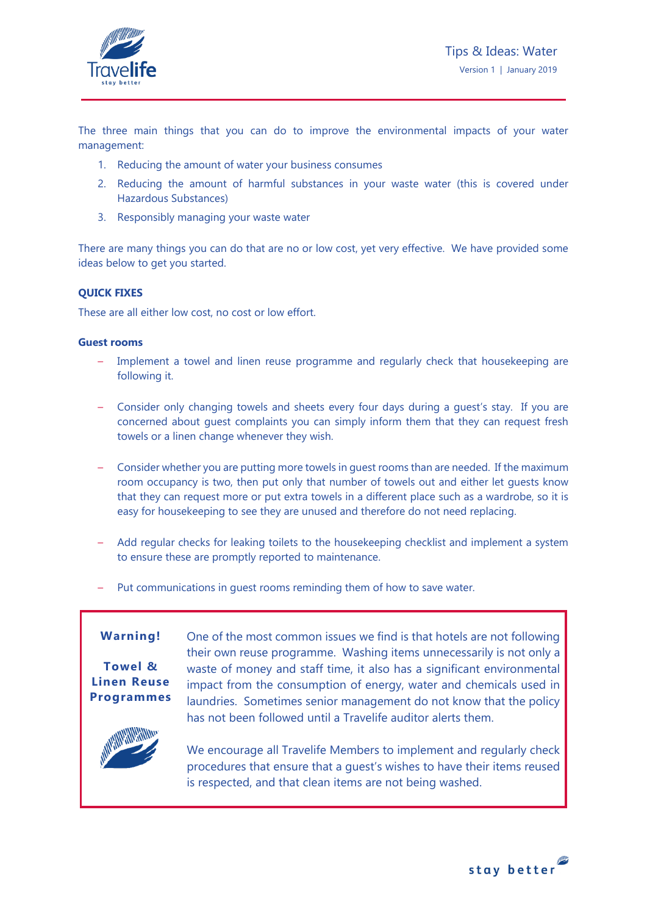

The three main things that you can do to improve the environmental impacts of your water management:

- 1. Reducing the amount of water your business consumes
- 2. Reducing the amount of harmful substances in your waste water (this is covered under Hazardous Substances)
- 3. Responsibly managing your waste water

There are many things you can do that are no or low cost, yet very effective. We have provided some ideas below to get you started.

## **QUICK FIXES**

These are all either low cost, no cost or low effort.

### **Guest rooms**

- Implement a towel and linen reuse programme and regularly check that housekeeping are following it.
- Consider only changing towels and sheets every four days during a guest's stay. If you are concerned about guest complaints you can simply inform them that they can request fresh towels or a linen change whenever they wish.
- Consider whether you are putting more towels in guest rooms than are needed. If the maximum room occupancy is two, then put only that number of towels out and either let guests know that they can request more or put extra towels in a different place such as a wardrobe, so it is easy for housekeeping to see they are unused and therefore do not need replacing.
- Add regular checks for leaking toilets to the housekeeping checklist and implement a system to ensure these are promptly reported to maintenance.
- Put communications in quest rooms reminding them of how to save water.

# **Warning!**

## **Towel & Linen Reuse Programmes**

One of the most common issues we find is that hotels are not following their own reuse programme. Washing items unnecessarily is not only a waste of money and staff time, it also has a significant environmental impact from the consumption of energy, water and chemicals used in laundries. Sometimes senior management do not know that the policy has not been followed until a Travelife auditor alerts them.



We encourage all Travelife Members to implement and regularly check procedures that ensure that a guest's wishes to have their items reused is respected, and that clean items are not being washed.

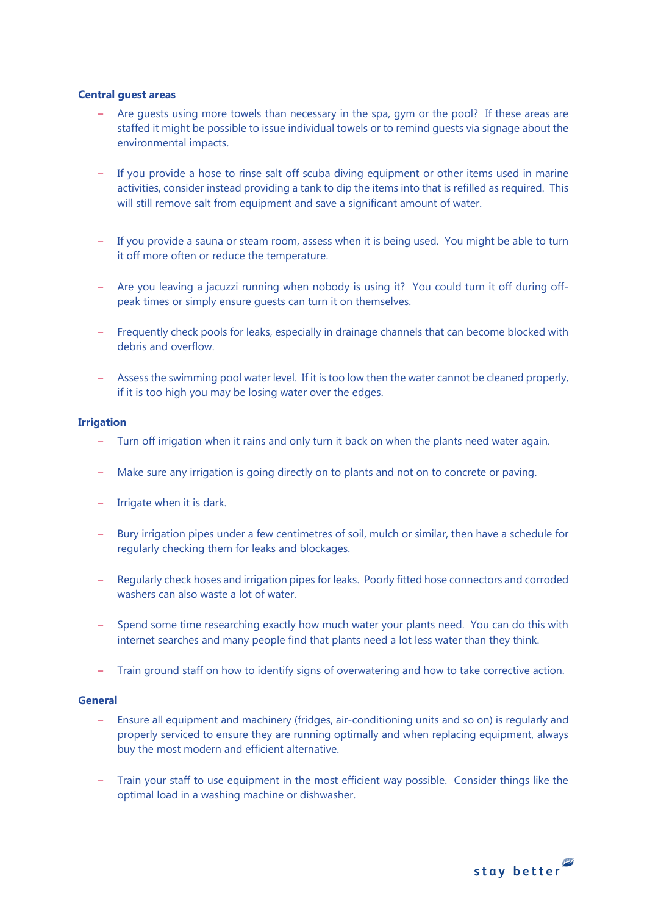#### **Central guest areas**

- Are quests using more towels than necessary in the spa, gym or the pool? If these areas are staffed it might be possible to issue individual towels or to remind guests via signage about the environmental impacts.
- If you provide a hose to rinse salt off scuba diving equipment or other items used in marine activities, consider instead providing a tank to dip the items into that is refilled as required. This will still remove salt from equipment and save a significant amount of water.
- If you provide a sauna or steam room, assess when it is being used. You might be able to turn it off more often or reduce the temperature.
- Are you leaving a jacuzzi running when nobody is using it? You could turn it off during offpeak times or simply ensure guests can turn it on themselves.
- Frequently check pools for leaks, especially in drainage channels that can become blocked with debris and overflow.
- Assess the swimming pool water level. If it is too low then the water cannot be cleaned properly, if it is too high you may be losing water over the edges.

## **Irrigation**

- Turn off irrigation when it rains and only turn it back on when the plants need water again.
- Make sure any irrigation is going directly on to plants and not on to concrete or paving.
- Irrigate when it is dark.
- Bury irrigation pipes under a few centimetres of soil, mulch or similar, then have a schedule for regularly checking them for leaks and blockages.
- Regularly check hoses and irrigation pipes for leaks. Poorly fitted hose connectors and corroded washers can also waste a lot of water.
- Spend some time researching exactly how much water your plants need. You can do this with internet searches and many people find that plants need a lot less water than they think.
- Train ground staff on how to identify signs of overwatering and how to take corrective action.

#### **General**

- Ensure all equipment and machinery (fridges, air-conditioning units and so on) is regularly and properly serviced to ensure they are running optimally and when replacing equipment, always buy the most modern and efficient alternative.
- Train your staff to use equipment in the most efficient way possible. Consider things like the optimal load in a washing machine or dishwasher.

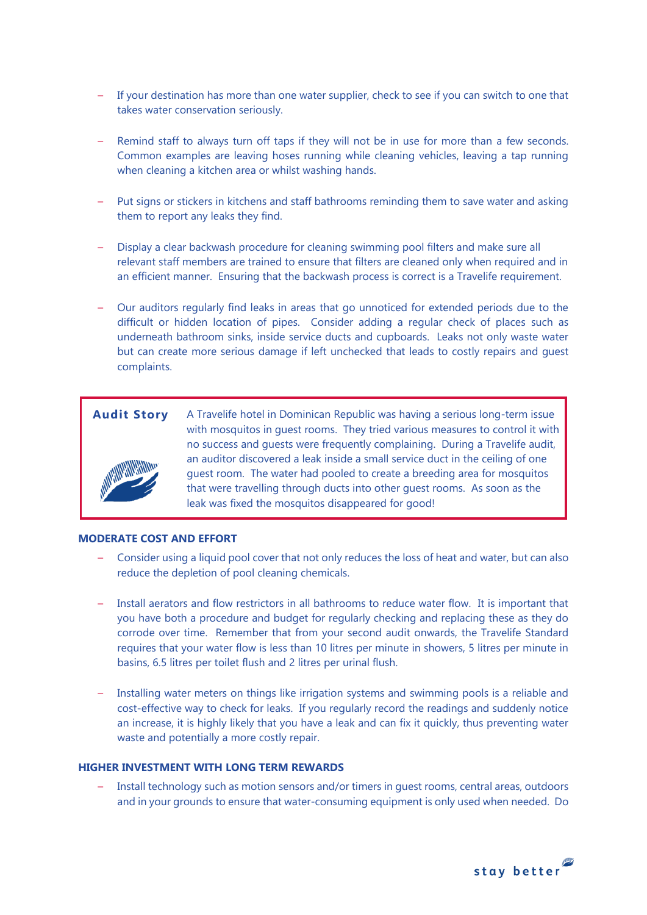- If your destination has more than one water supplier, check to see if you can switch to one that takes water conservation seriously.
- Remind staff to always turn off taps if they will not be in use for more than a few seconds. Common examples are leaving hoses running while cleaning vehicles, leaving a tap running when cleaning a kitchen area or whilst washing hands.
- Put signs or stickers in kitchens and staff bathrooms reminding them to save water and asking them to report any leaks they find.
- Display a clear backwash procedure for cleaning swimming pool filters and make sure all relevant staff members are trained to ensure that filters are cleaned only when required and in an efficient manner. Ensuring that the backwash process is correct is a Travelife requirement.
- Our auditors regularly find leaks in areas that go unnoticed for extended periods due to the difficult or hidden location of pipes. Consider adding a regular check of places such as underneath bathroom sinks, inside service ducts and cupboards. Leaks not only waste water but can create more serious damage if left unchecked that leads to costly repairs and guest complaints.



**Audit Story** A Travelife hotel in Dominican Republic was having a serious long-term issue with mosquitos in guest rooms. They tried various measures to control it with no success and guests were frequently complaining. During a Travelife audit, an auditor discovered a leak inside a small service duct in the ceiling of one guest room. The water had pooled to create a breeding area for mosquitos that were travelling through ducts into other guest rooms. As soon as the leak was fixed the mosquitos disappeared for good!

## **MODERATE COST AND EFFORT**

- Consider using a liquid pool cover that not only reduces the loss of heat and water, but can also reduce the depletion of pool cleaning chemicals.
- Install aerators and flow restrictors in all bathrooms to reduce water flow. It is important that you have both a procedure and budget for regularly checking and replacing these as they do corrode over time. Remember that from your second audit onwards, the Travelife Standard requires that your water flow is less than 10 litres per minute in showers, 5 litres per minute in basins, 6.5 litres per toilet flush and 2 litres per urinal flush.
- Installing water meters on things like irrigation systems and swimming pools is a reliable and cost-effective way to check for leaks. If you regularly record the readings and suddenly notice an increase, it is highly likely that you have a leak and can fix it quickly, thus preventing water waste and potentially a more costly repair.

# **HIGHER INVESTMENT WITH LONG TERM REWARDS**

– Install technology such as motion sensors and/or timers in guest rooms, central areas, outdoors and in your grounds to ensure that water-consuming equipment is only used when needed. Do